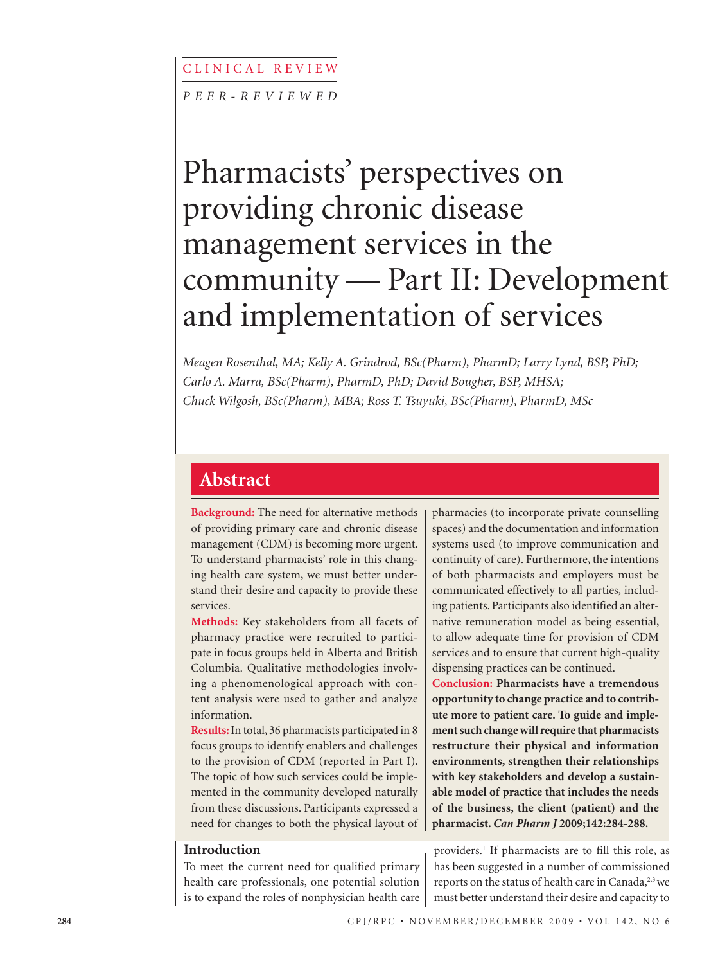# CLINICAL REVIEW *PEER-REVIEWED*

# Pharmacists' perspectives on providing chronic disease management services in the community — Part II: Development and implementation of services

*Meagen Rosenthal, MA; Kelly A. Grindrod, BSc(Pharm), PharmD; Larry Lynd, BSP, PhD; Carlo A. Marra, BSc(Pharm), PharmD, PhD; David Bougher, BSP, MHSA; Chuck Wilgosh, BSc(Pharm), MBA; Ross T. Tsuyuki, BSc(Pharm), PharmD, MSc*

# **Abstract**

**Background:** The need for alternative methods of providing primary care and chronic disease management (CDM) is becoming more urgent. To understand pharmacists' role in this changing health care system, we must better understand their desire and capacity to provide these services.

**Methods:** Key stakeholders from all facets of pharmacy practice were recruited to participate in focus groups held in Alberta and British Columbia. Qualitative methodologies involving a phenomenological approach with content analysis were used to gather and analyze information.

**Results:** In total, 36 pharmacists participated in 8 focus groups to identify enablers and challenges to the provision of CDM (reported in Part I). The topic of how such services could be implemented in the community developed naturally from these discussions. Participants expressed a need for changes to both the physical layout of

### **Introduction**

To meet the current need for qualified primary health care professionals, one potential solution is to expand the roles of nonphysician health care pharmacies (to incorporate private counselling spaces) and the documentation and information systems used (to improve communication and continuity of care). Furthermore, the intentions of both pharmacists and employers must be communicated effectively to all parties, including patients. Participants also identified an alternative remuneration model as being essential, to allow adequate time for provision of CDM services and to ensure that current high-quality dispensing practices can be continued.

**Conclusion: Pharmacists have a tremendous opportunity to change practice and to contribute more to patient care. To guide and implement such change will require that pharmacists restructure their physical and information environments, strengthen their relationships with key stakeholders and develop a sustainable model of practice that includes the needs of the business, the client (patient) and the pharmacist.** *Can Pharm J* **2009;142:284-288.**

providers.1 If pharmacists are to fill this role, as has been suggested in a number of commissioned reports on the status of health care in Canada, $2,3$  we must better understand their desire and capacity to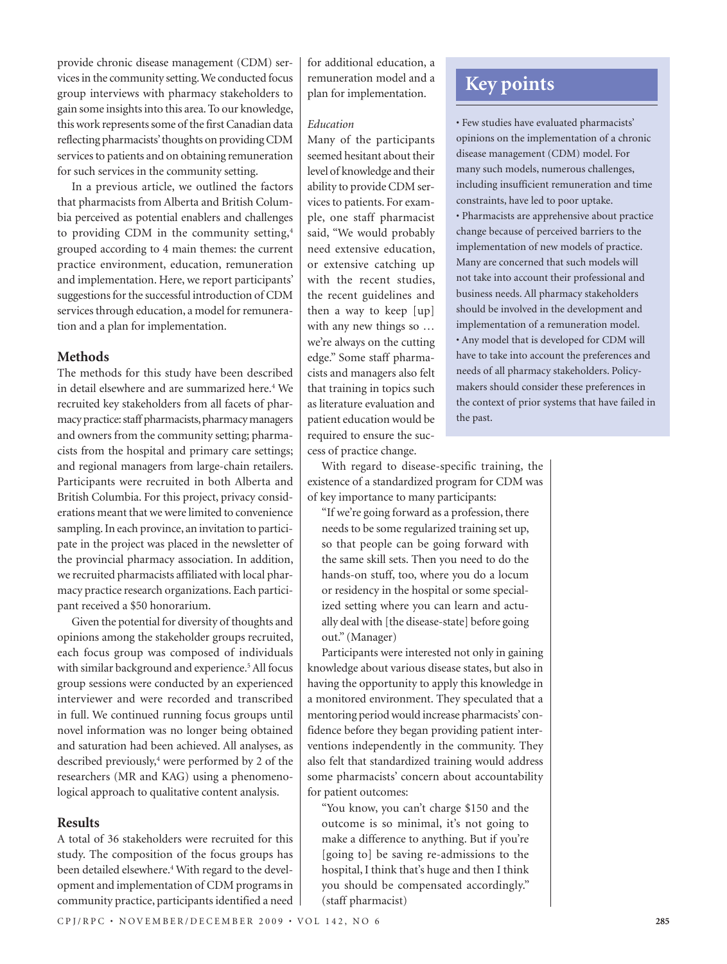provide chronic disease management (CDM) services in the community setting. We conducted focus group interviews with pharmacy stakeholders to gain some insights into this area. To our knowledge, this work represents some of the first Canadian data reflecting pharmacists' thoughts on providing CDM services to patients and on obtaining remuneration for such services in the community setting.

In a previous article, we outlined the factors that pharmacists from Alberta and British Columbia perceived as potential enablers and challenges to providing CDM in the community setting,<sup>4</sup> grouped according to 4 main themes: the current practice environment, education, remuneration and implementation. Here, we report participants' suggestions for the successful introduction of CDM services through education, a model for remuneration and a plan for implementation.

#### **Methods**

The methods for this study have been described in detail elsewhere and are summarized here.<sup>4</sup> We recruited key stakeholders from all facets of pharmacy practice: staff pharmacists, pharmacy managers and owners from the community setting; pharmacists from the hospital and primary care settings; and regional managers from large-chain retailers. Participants were recruited in both Alberta and British Columbia. For this project, privacy considerations meant that we were limited to convenience sampling. In each province, an invitation to participate in the project was placed in the newsletter of the provincial pharmacy association. In addition, we recruited pharmacists affiliated with local pharmacy practice research organizations. Each participant received a \$50 honorarium.

Given the potential for diversity of thoughts and opinions among the stakeholder groups recruited, each focus group was composed of individuals with similar background and experience.<sup>5</sup> All focus group sessions were conducted by an experienced interviewer and were recorded and transcribed in full. We continued running focus groups until novel information was no longer being obtained and saturation had been achieved. All analyses, as described previously,<sup>4</sup> were performed by 2 of the researchers (MR and KAG) using a phenomenological approach to qualitative content analysis.

### **Results**

A total of 36 stakeholders were recruited for this study. The composition of the focus groups has been detailed elsewhere.<sup>4</sup> With regard to the development and implementation of CDM programs in community practice, participants identified a need

for additional education, a remuneration model and a plan for implementation.

#### *Education*

Many of the participants seemed hesitant about their level of knowledge and their ability to provide CDM services to patients. For example, one staff pharmacist said, "We would probably need extensive education, or extensive catching up with the recent studies, the recent guidelines and then a way to keep [up] with any new things so … we're always on the cutting edge." Some staff pharmacists and managers also felt that training in topics such as literature evaluation and patient education would be required to ensure the success of practice change.

With regard to disease-specific training, the existence of a standardized program for CDM was of key importance to many participants:

"If we're going forward as a profession, there needs to be some regularized training set up, so that people can be going forward with the same skill sets. Then you need to do the hands-on stuff, too, where you do a locum or residency in the hospital or some specialized setting where you can learn and actually deal with [the disease-state] before going out." (Manager)

Participants were interested not only in gaining knowledge about various disease states, but also in having the opportunity to apply this knowledge in a monitored environment. They speculated that a mentoring period would increase pharmacists' confidence before they began providing patient interventions independently in the community. They also felt that standardized training would address some pharmacists' concern about accountability for patient outcomes:

"You know, you can't charge \$150 and the outcome is so minimal, it's not going to make a difference to anything. But if you're [going to] be saving re-admissions to the hospital, I think that's huge and then I think you should be compensated accordingly." (staff pharmacist)

# **Key points**

• Few studies have evaluated pharmacists' opinions on the implementation of a chronic disease management (CDM) model. For many such models, numerous challenges, including insufficient remuneration and time constraints, have led to poor uptake. • Pharmacists are apprehensive about practice change because of perceived barriers to the implementation of new models of practice. Many are concerned that such models will not take into account their professional and business needs. All pharmacy stakeholders should be involved in the development and implementation of a remuneration model. • Any model that is developed for CDM will have to take into account the preferences and needs of all pharmacy stakeholders. Policymakers should consider these preferences in the context of prior systems that have failed in the past.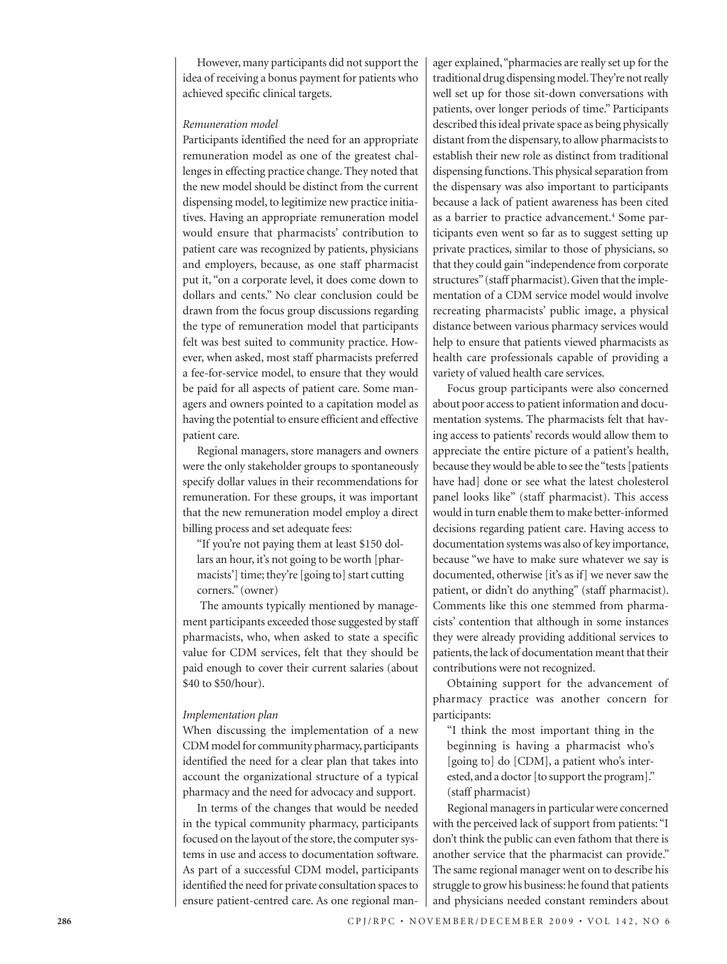However, many participants did not support the idea of receiving a bonus payment for patients who achieved specific clinical targets.

#### *Remuneration model*

Participants identified the need for an appropriate remuneration model as one of the greatest challenges in effecting practice change. They noted that the new model should be distinct from the current dispensing model, to legitimize new practice initiatives. Having an appropriate remuneration model would ensure that pharmacists' contribution to patient care was recognized by patients, physicians and employers, because, as one staff pharmacist put it, "on a corporate level, it does come down to dollars and cents." No clear conclusion could be drawn from the focus group discussions regarding the type of remuneration model that participants felt was best suited to community practice. However, when asked, most staff pharmacists preferred a fee-for-service model, to ensure that they would be paid for all aspects of patient care. Some managers and owners pointed to a capitation model as having the potential to ensure efficient and effective patient care.

Regional managers, store managers and owners were the only stakeholder groups to spontaneously specify dollar values in their recommendations for remuneration. For these groups, it was important that the new remuneration model employ a direct billing process and set adequate fees:

"If you're not paying them at least \$150 dollars an hour, it's not going to be worth [pharmacists'] time; they're [going to] start cutting corners." (owner)

 The amounts typically mentioned by management participants exceeded those suggested by staff pharmacists, who, when asked to state a specific value for CDM services, felt that they should be paid enough to cover their current salaries (about \$40 to \$50/hour).

#### *Implementation plan*

When discussing the implementation of a new CDM model for community pharmacy, participants identified the need for a clear plan that takes into account the organizational structure of a typical pharmacy and the need for advocacy and support.

In terms of the changes that would be needed in the typical community pharmacy, participants focused on the layout of the store, the computer systems in use and access to documentation software. As part of a successful CDM model, participants identified the need for private consultation spaces to ensure patient-centred care. As one regional man-

ager explained, "pharmacies are really set up for the traditional drug dispensing model. They're not really well set up for those sit-down conversations with patients, over longer periods of time." Participants described this ideal private space as being physically distant from the dispensary, to allow pharmacists to establish their new role as distinct from traditional dispensing functions. This physical separation from the dispensary was also important to participants because a lack of patient awareness has been cited as a barrier to practice advancement.<sup>4</sup> Some participants even went so far as to suggest setting up private practices, similar to those of physicians, so that they could gain "independence from corporate structures" (staff pharmacist). Given that the implementation of a CDM service model would involve recreating pharmacists' public image, a physical distance between various pharmacy services would help to ensure that patients viewed pharmacists as health care professionals capable of providing a variety of valued health care services.

Focus group participants were also concerned about poor access to patient information and documentation systems. The pharmacists felt that having access to patients' records would allow them to appreciate the entire picture of a patient's health, because they would be able to see the "tests [patients have had] done or see what the latest cholesterol panel looks like" (staff pharmacist). This access would in turn enable them to make better-informed decisions regarding patient care. Having access to documentation systems was also of key importance, because "we have to make sure whatever we say is documented, otherwise [it's as if] we never saw the patient, or didn't do anything" (staff pharmacist). Comments like this one stemmed from pharmacists' contention that although in some instances they were already providing additional services to patients, the lack of documentation meant that their contributions were not recognized.

Obtaining support for the advancement of pharmacy practice was another concern for participants:

"I think the most important thing in the beginning is having a pharmacist who's [going to] do [CDM], a patient who's interested, and a doctor [to support the program]." (staff pharmacist)

Regional managers in particular were concerned with the perceived lack of support from patients: "I don't think the public can even fathom that there is another service that the pharmacist can provide." The same regional manager went on to describe his struggle to grow his business: he found that patients and physicians needed constant reminders about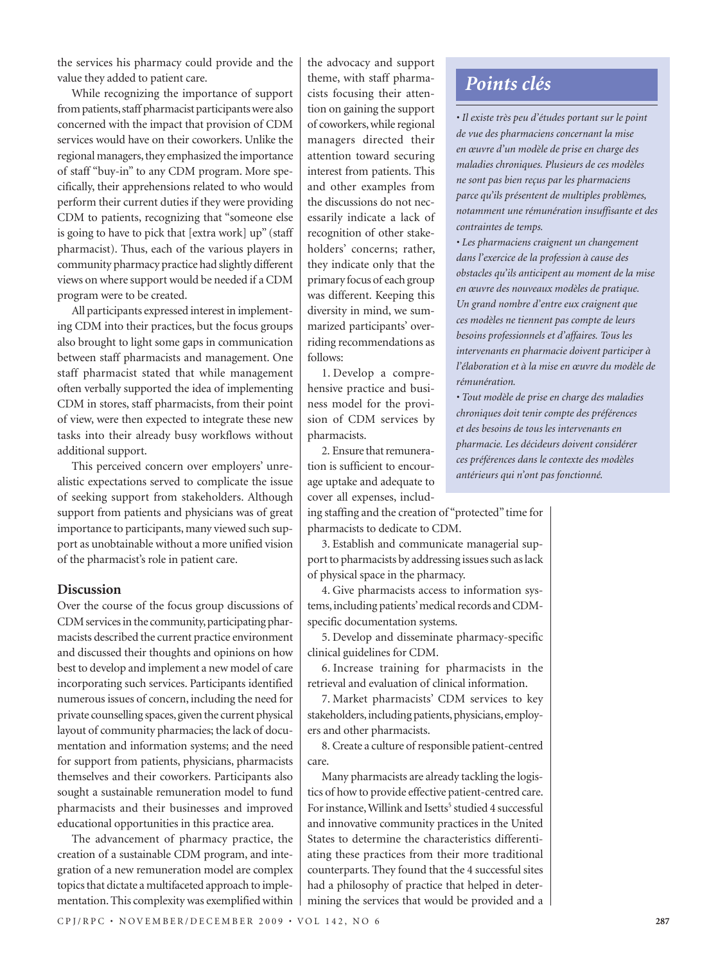the services his pharmacy could provide and the value they added to patient care.

While recognizing the importance of support from patients, staff pharmacist participants were also concerned with the impact that provision of CDM services would have on their coworkers. Unlike the regional managers, they emphasized the importance of staff "buy-in" to any CDM program. More specifically, their apprehensions related to who would perform their current duties if they were providing CDM to patients, recognizing that "someone else is going to have to pick that [extra work] up" (staff pharmacist). Thus, each of the various players in community pharmacy practice had slightly different views on where support would be needed if a CDM program were to be created.

All participants expressed interest in implementing CDM into their practices, but the focus groups also brought to light some gaps in communication between staff pharmacists and management. One staff pharmacist stated that while management often verbally supported the idea of implementing CDM in stores, staff pharmacists, from their point of view, were then expected to integrate these new tasks into their already busy workflows without additional support.

This perceived concern over employers' unrealistic expectations served to complicate the issue of seeking support from stakeholders. Although support from patients and physicians was of great importance to participants, many viewed such support as unobtainable without a more unified vision of the pharmacist's role in patient care.

### **Discussion**

Over the course of the focus group discussions of CDM services in the community, participating pharmacists described the current practice environment and discussed their thoughts and opinions on how best to develop and implement a new model of care incorporating such services. Participants identified numerous issues of concern, including the need for private counselling spaces, given the current physical layout of community pharmacies; the lack of documentation and information systems; and the need for support from patients, physicians, pharmacists themselves and their coworkers. Participants also sought a sustainable remuneration model to fund pharmacists and their businesses and improved educational opportunities in this practice area.

The advancement of pharmacy practice, the creation of a sustainable CDM program, and integration of a new remuneration model are complex topics that dictate a multifaceted approach to implementation. This complexity was exemplified within the advocacy and support theme, with staff pharmacists focusing their attention on gaining the support of coworkers, while regional managers directed their attention toward securing interest from patients. This and other examples from the discussions do not necessarily indicate a lack of recognition of other stakeholders' concerns; rather, they indicate only that the primary focus of each group was different. Keeping this diversity in mind, we summarized participants' overriding recommendations as follows:

1. Develop a comprehensive practice and business model for the provision of CDM services by pharmacists.

2. Ensure that remuneration is sufficient to encourage uptake and adequate to cover all expenses, includ-

ing staffing and the creation of "protected" time for pharmacists to dedicate to CDM.

3. Establish and communicate managerial support to pharmacists by addressing issues such as lack of physical space in the pharmacy.

4. Give pharmacists access to information systems, including patients' medical records and CDMspecific documentation systems.

5. Develop and disseminate pharmacy-specific clinical guidelines for CDM.

6. Increase training for pharmacists in the retrieval and evaluation of clinical information.

7. Market pharmacists' CDM services to key stakeholders, including patients, physicians, employers and other pharmacists.

8. Create a culture of responsible patient-centred care.

Many pharmacists are already tackling the logistics of how to provide effective patient-centred care. For instance, Willink and Isetts<sup>5</sup> studied 4 successful and innovative community practices in the United States to determine the characteristics differentiating these practices from their more traditional counterparts. They found that the 4 successful sites had a philosophy of practice that helped in determining the services that would be provided and a

## *Points clés*

*• Il existe très peu d'études portant sur le point de vue des pharmaciens concernant la mise en œuvre d'un modèle de prise en charge des maladies chroniques. Plusieurs de ces modèles ne sont pas bien reçus par les pharmaciens parce qu'ils présentent de multiples problèmes, notamment une rémunération insuffisante et des contraintes de temps.*

*• Les pharmaciens craignent un changement dans l'exercice de la profession à cause des obstacles qu'ils anticipent au moment de la mise en œuvre des nouveaux modèles de pratique. Un grand nombre d'entre eux craignent que ces modèles ne tiennent pas compte de leurs besoins professionnels et d'affaires. Tous les intervenants en pharmacie doivent participer à l'élaboration et à la mise en œuvre du modèle de rémunération.*

*• Tout modèle de prise en charge des maladies chroniques doit tenir compte des préférences et des besoins de tous les intervenants en pharmacie. Les décideurs doivent considérer ces préférences dans le contexte des modèles antérieurs qui n'ont pas fonctionné.*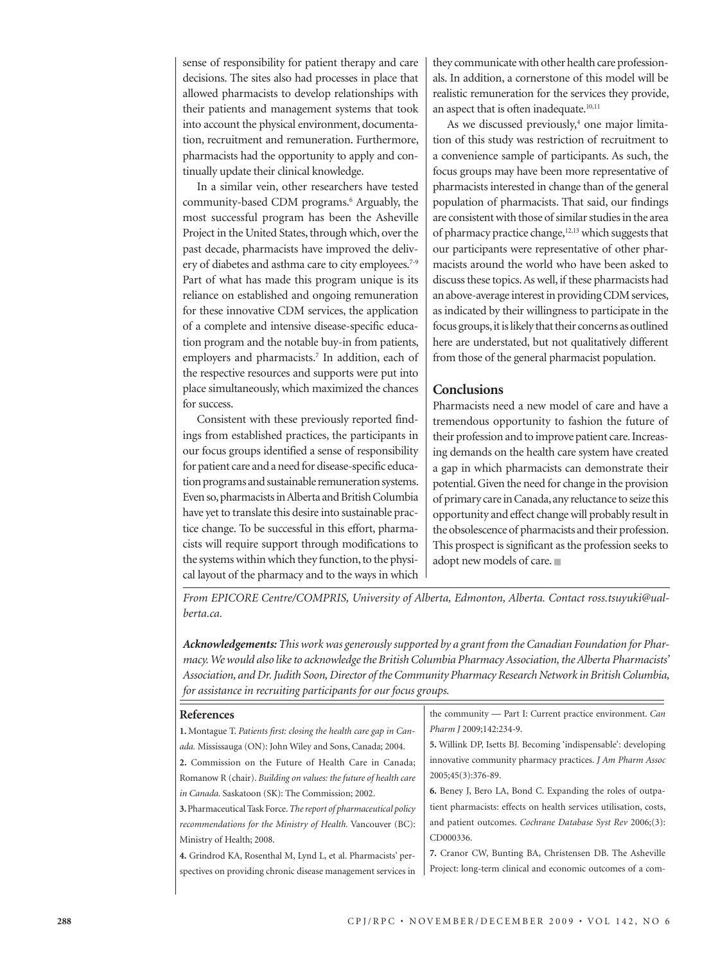sense of responsibility for patient therapy and care decisions. The sites also had processes in place that allowed pharmacists to develop relationships with their patients and management systems that took into account the physical environment, documentation, recruitment and remuneration. Furthermore, pharmacists had the opportunity to apply and continually update their clinical knowledge.

In a similar vein, other researchers have tested community-based CDM programs.<sup>6</sup> Arguably, the most successful program has been the Asheville Project in the United States, through which, over the past decade, pharmacists have improved the delivery of diabetes and asthma care to city employees.<sup>7-9</sup> Part of what has made this program unique is its reliance on established and ongoing remuneration for these innovative CDM services, the application of a complete and intensive disease-specific education program and the notable buy-in from patients, employers and pharmacists.<sup>7</sup> In addition, each of the respective resources and supports were put into place simultaneously, which maximized the chances for success.

Consistent with these previously reported findings from established practices, the participants in our focus groups identified a sense of responsibility for patient care and a need for disease-specific education programs and sustainable remuneration systems. Even so, pharmacists in Alberta and British Columbia have yet to translate this desire into sustainable practice change. To be successful in this effort, pharmacists will require support through modifications to the systems within which they function, to the physical layout of the pharmacy and to the ways in which

they communicate with other health care professionals. In addition, a cornerstone of this model will be realistic remuneration for the services they provide, an aspect that is often inadequate.<sup>10,11</sup>

As we discussed previously,<sup>4</sup> one major limitation of this study was restriction of recruitment to a convenience sample of participants. As such, the focus groups may have been more representative of pharmacists interested in change than of the general population of pharmacists. That said, our findings are consistent with those of similar studies in the area of pharmacy practice change,<sup>12,13</sup> which suggests that our participants were representative of other pharmacists around the world who have been asked to discuss these topics. As well, if these pharmacists had an above-average interest in providing CDM services, as indicated by their willingness to participate in the focus groups, it is likely that their concerns as outlined here are understated, but not qualitatively different from those of the general pharmacist population.

### **Conclusions**

Pharmacists need a new model of care and have a tremendous opportunity to fashion the future of their profession and to improve patient care. Increasing demands on the health care system have created a gap in which pharmacists can demonstrate their potential. Given the need for change in the provision of primary care in Canada, any reluctance to seize this opportunity and effect change will probably result in the obsolescence of pharmacists and their profession. This prospect is significant as the profession seeks to adopt new models of care.

*From EPICORE Centre/COMPRIS, University of Alberta, Edmonton, Alberta. Contact ross.tsuyuki@ualberta.ca.*

*Acknowledgements: This work was generously supported by a grant from the Canadian Foundation for Pharmacy. We would also like to acknowledge the British Columbia Pharmacy Association, the Alberta Pharmacists' Association, and Dr. Judith Soon, Director of the Community Pharmacy Research Network in British Columbia, for assistance in recruiting participants for our focus groups.* 

| References                                                         | the community — Part I: Current practice environment. Can             |
|--------------------------------------------------------------------|-----------------------------------------------------------------------|
| 1. Montague T. Patients first: closing the health care gap in Can- | Pharm J 2009;142:234-9.                                               |
| ada. Mississauga (ON): John Wiley and Sons, Canada; 2004.          | <b>5.</b> Willink DP, Isetts BJ. Becoming 'indispensable': developing |
| 2. Commission on the Future of Health Care in Canada;              | innovative community pharmacy practices. J Am Pharm Assoc             |
| Romanow R (chair). Building on values: the future of health care   | 2005;45(3):376-89.                                                    |
| in Canada. Saskatoon (SK): The Commission; 2002.                   | <b>6.</b> Beney J, Bero LA, Bond C. Expanding the roles of outpa-     |
| 3. Pharmaceutical Task Force. The report of pharmaceutical policy  | tient pharmacists: effects on health services utilisation, costs,     |
| recommendations for the Ministry of Health. Vancouver (BC):        | and patient outcomes. Cochrane Database Syst Rev 2006;(3):            |
| Ministry of Health; 2008.                                          | CD000336.                                                             |
| 4. Grindrod KA, Rosenthal M, Lynd L, et al. Pharmacists' per-      | 7. Cranor CW, Bunting BA, Christensen DB. The Asheville               |
| spectives on providing chronic disease management services in      | Project: long-term clinical and economic outcomes of a com-           |
|                                                                    |                                                                       |